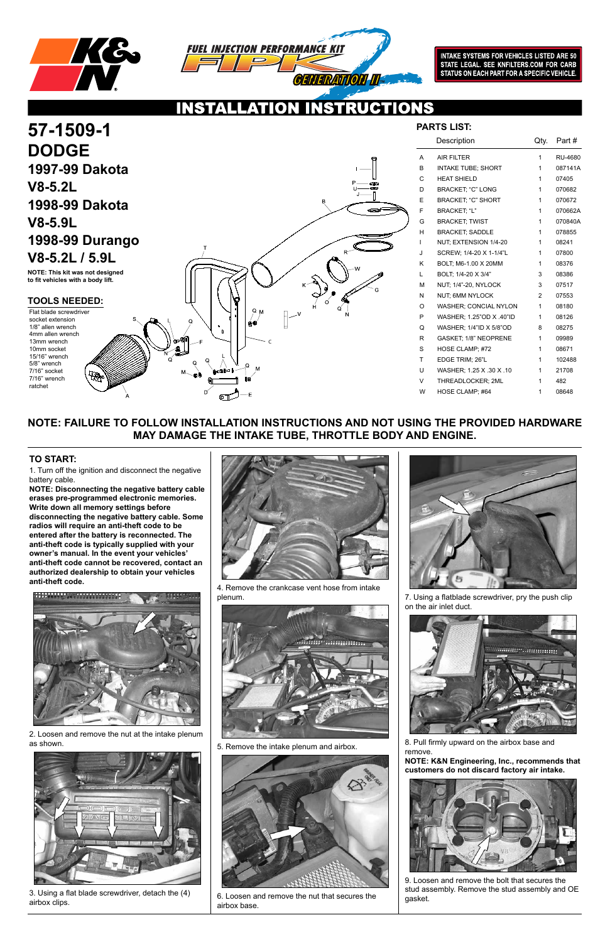



**INTAKE SYSTEMS FOR VEHICLES LISTED ARE 50** STATE LEGAL. SEE KNFILTERS.COM FOR CARB STATUS ON EACH PART FOR A SPECIFIC VEHICLE.

## **NOTE: FAILURE TO FOLLOW INSTALLATION INSTRUCTIONS AND NOT USING THE PROVIDED HARDWARE MAY DAMAGE THE INTAKE TUBE, THROTTLE BODY AND ENGINE.**

1. Turn off the ignition and disconnect the negative battery cable.

**NOTE: Disconnecting the negative battery cable erases pre-programmed electronic memories. Write down all memory settings before disconnecting the negative battery cable. Some radios will require an anti-theft code to be entered after the battery is reconnected. The anti-theft code is typically supplied with your owner's manual. In the event your vehicles' anti-theft code cannot be recovered, contact an authorized dealership to obtain your vehicles anti-theft code.**





### **TO START:**



2. Loosen and remove the nut at the intake plenum as shown.



3. Using a flat blade screwdriver, detach the (4) airbox clips.

4. Remove the crankcase vent hose from intake plenum.





5. Remove the intake plenum and airbox.



6. Loosen and remove the nut that secures the airbox base.

7. Using a flatblade screwdriver, pry the push clip on the air inlet duct.



8. Pull firmly upward on the airbox base and remove.

**NOTE: K&N Engineering, Inc., recommends that customers do not discard factory air intake.**



9. Loosen and remove the bolt that secures the stud assembly. Remove the stud assembly and OE gasket.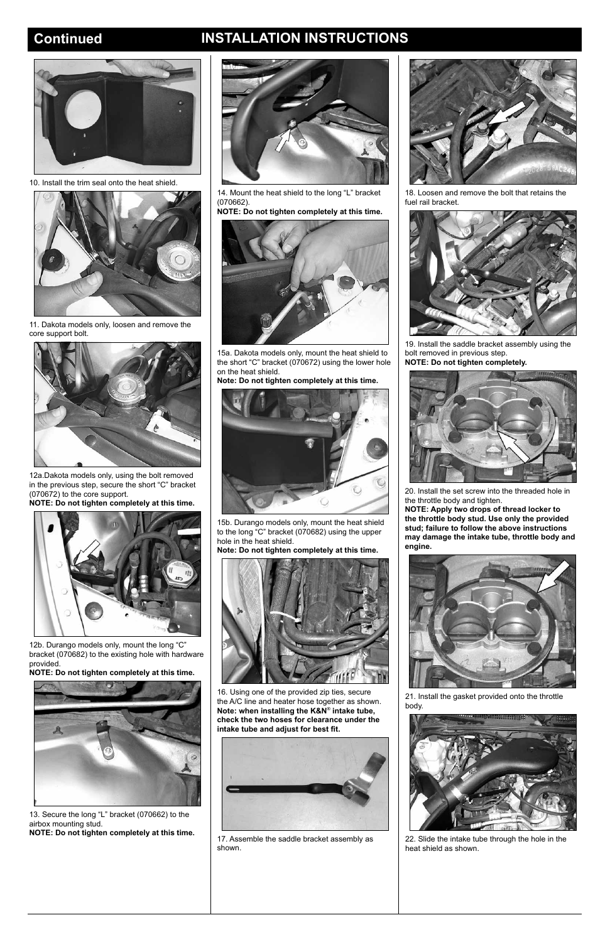## **Continued INSTALLATION INSTRUCTIONS**



10. Install the trim seal onto the heat shield.



11. Dakota models only, loosen and remove the core support bolt.



12a.Dakota models only, using the bolt removed in the previous step, secure the short "C" bracket (070672) to the core support.

**NOTE: Do not tighten completely at this time.**



12b. Durango models only, mount the long "C" bracket (070682) to the existing hole with hardware provided.

**NOTE: Do not tighten completely at this time.**



13. Secure the long "L" bracket (070662) to the airbox mounting stud.

**NOTE: Do not tighten completely at this time.**

14. Mount the heat shield to the long "L" bracket (070662).

**NOTE: Do not tighten completely at this time.**



15a. Dakota models only, mount the heat shield to the short "C" bracket (070672) using the lower hole on the heat shield.

**Note: Do not tighten completely at this time.**



15b. Durango models only, mount the heat shield to the long "C" bracket (070682) using the upper hole in the heat shield.

**Note: Do not tighten completely at this time.**





16. Using one of the provided zip ties, secure the A/C line and heater hose together as shown. **Note: when installing the K&N**® **intake tube, check the two hoses for clearance under the intake tube and adjust for best fit.**



17. Assemble the saddle bracket assembly as shown.

18. Loosen and remove the bolt that retains the fuel rail bracket.



19. Install the saddle bracket assembly using the bolt removed in previous step. **NOTE: Do not tighten completely.**



20. Install the set screw into the threaded hole in the throttle body and tighten.

**NOTE: Apply two drops of thread locker to the throttle body stud. Use only the provided stud; failure to follow the above instructions may damage the intake tube, throttle body and engine.**





21. Install the gasket provided onto the throttle body.



22. Slide the intake tube through the hole in the heat shield as shown.